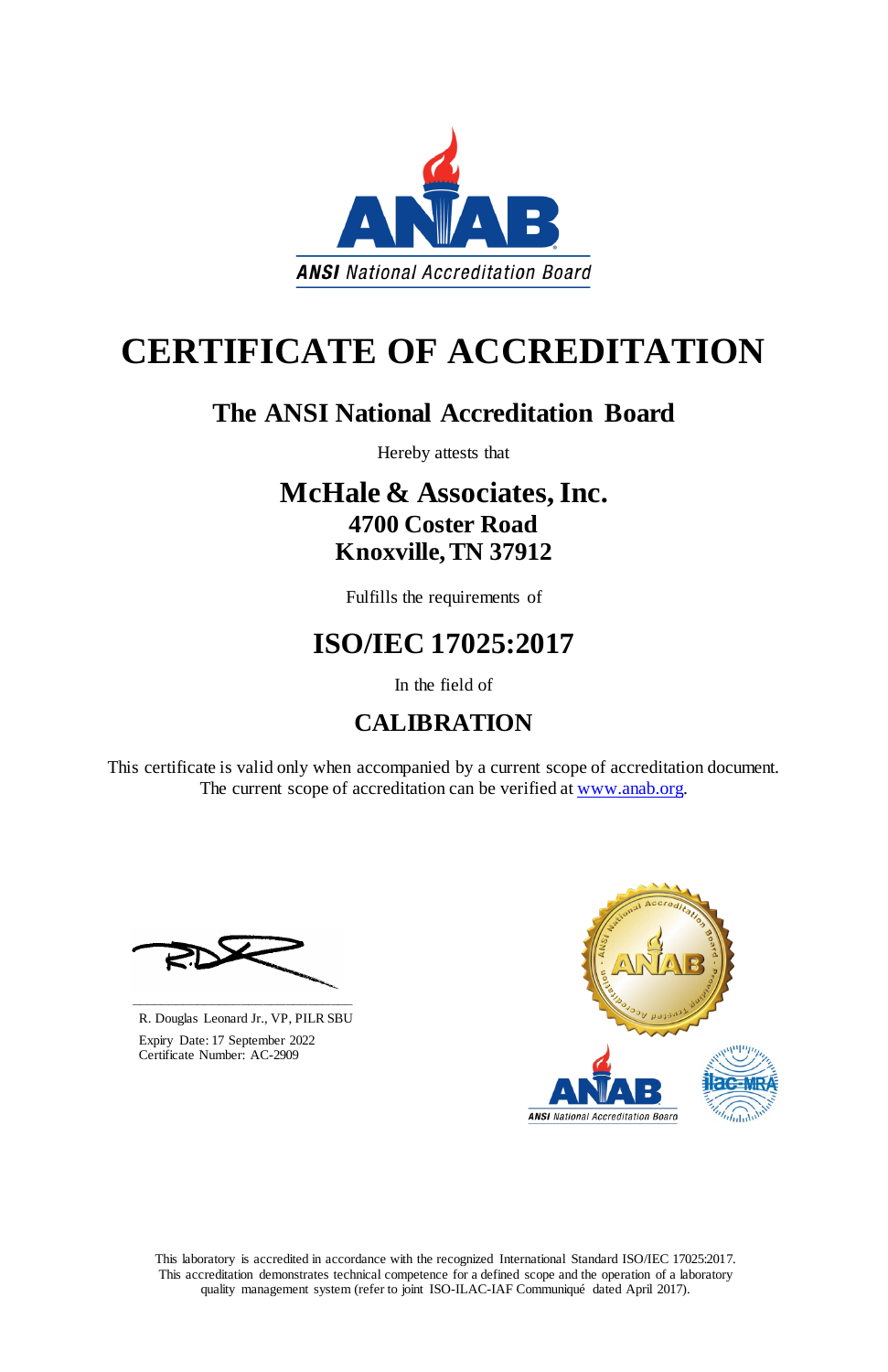This laboratory is accredited in accordance with the recognized International Standard ISO/IEC 17025:2017. This accreditation demonstrates technical competence for a defined scope and the operation of a laboratory quality management system (refer to joint ISO-ILAC-IAF Communiqué dated April 2017).

This certificate is valid only when accompanied by a current scope of accreditation document. The current scope of accreditation can be verified at [www.anab.org.](http://www.anab.org/)



# **CERTIFICATE OF ACCREDITATION**

## **The ANSI National Accreditation Board**

Hereby attests that

### **McHale & Associates, Inc. 4700 Coster Road Knoxville, TN 37912**

Fulfills the requirements of

# **ISO/IEC 17025:2017**

In the field of

# **CALIBRATION**





R. Douglas Leonard Jr., VP, PILR SBU

 Expiry Date: 17 September 2022 Certificate Number: AC-2909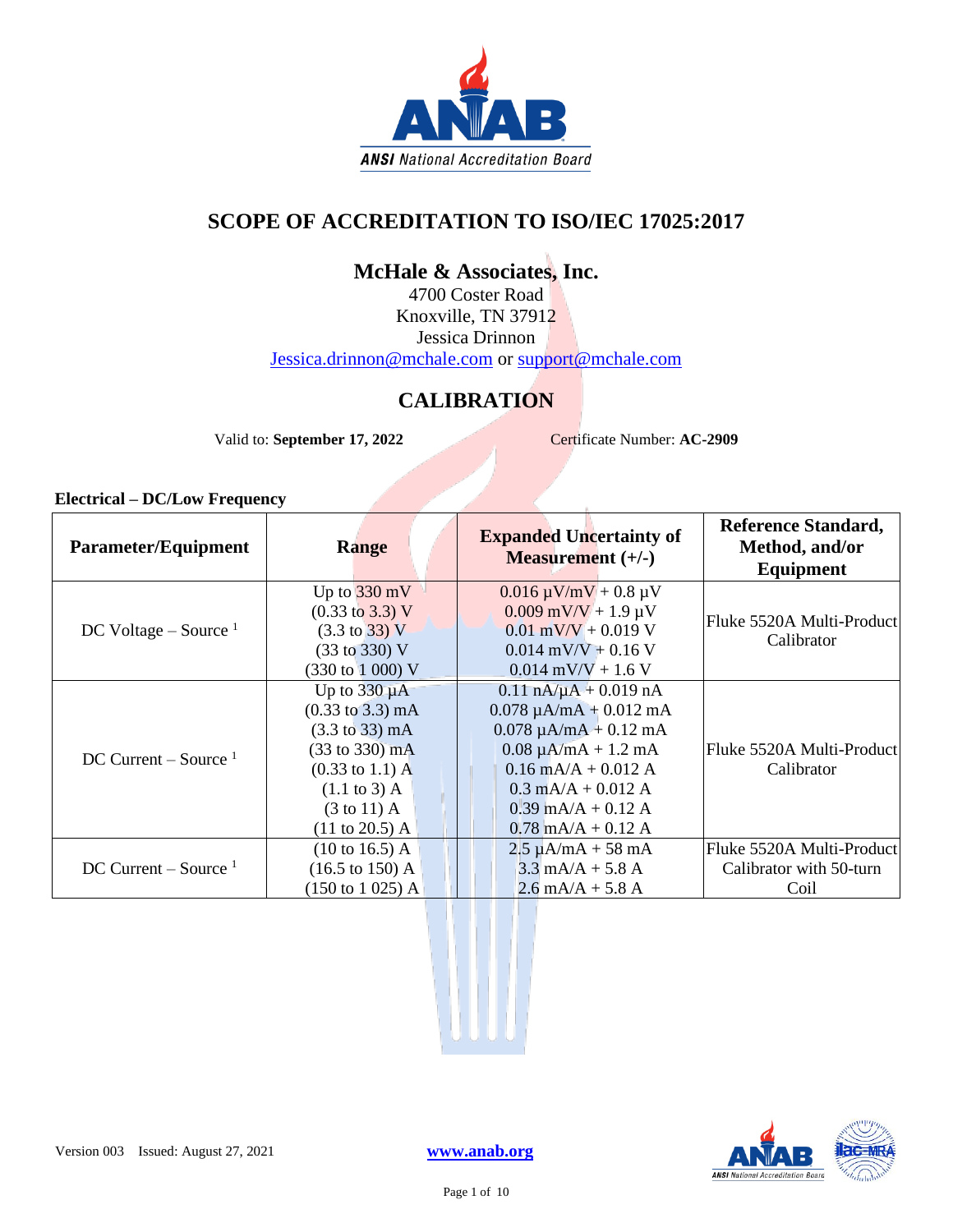

### **SCOPE OF ACCREDITATION TO ISO/IEC 17025:2017**

### **McHale & Associates, Inc.**

4700 Coster Road Knoxville, TN 37912 Jessica Drinnon [Jessica.drinnon@mchale.com](mailto:Jessica.drinnon@mchale.com) or [support@mchale.com](mailto:support@mchale.com)

### **CALIBRATION**

Valid to: **September 17, 2022** Certificate Number: **AC-2909** 

| <b>Parameter/Equipment</b> | <b>Range</b>                                                           | <b>Expanded Uncertainty of</b><br><b>Measurement</b> $(+/-)$ | <b>Reference Standard,</b><br>Method, and/or<br>Equipment |
|----------------------------|------------------------------------------------------------------------|--------------------------------------------------------------|-----------------------------------------------------------|
|                            | Up to $330 \text{ mV}$                                                 | $0.016 \mu V/mV + 0.8 \mu V$                                 |                                                           |
| DC Voltage – Source $1$    | $(0.33 \text{ to } 3.3) \text{ V}$<br>$(3.3 \text{ to } 33) \text{ V}$ | $0.009$ mV/V + 1.9 µV<br>$0.01$ mV/V + 0.019 V               | Fluke 5520A Multi-Product                                 |
|                            | $(33 \text{ to } 330) \text{ V}$                                       | $0.014$ mV/V + 0.16 V                                        | Calibrator                                                |
|                            | (330 to 1 000) V                                                       | $0.014$ mV/V + 1.6 V                                         |                                                           |
|                            | Up to $330 \mu A$                                                      | $0.11 \text{ nA}/\mu\text{A} + 0.019 \text{ nA}$             |                                                           |
|                            | $(0.33 \text{ to } 3.3) \text{ mA}$                                    | $0.078 \mu A/mA + 0.012 mA$                                  |                                                           |
|                            | $(3.3 \text{ to } 33) \text{ mA}$                                      | $0.078 \mu A/mA + 0.12 mA$                                   |                                                           |
| DC Current – Source $1$    | $(33 \text{ to } 330) \text{ mA}$                                      | $0.08 \mu A/mA + 1.2 mA$                                     | Fluke 5520A Multi-Product                                 |
|                            | $(0.33 \text{ to } 1.1) \text{ A}$                                     | $0.16$ mA/A + $0.012$ A                                      | Calibrator                                                |
|                            | $(1.1 \text{ to } 3)$ A                                                | $0.3$ mA/A + 0.012 A                                         |                                                           |
|                            | $(3 \text{ to } 11)$ A                                                 | $0.39$ mA/A + $0.12$ A                                       |                                                           |
|                            | $(11 \text{ to } 20.5)$ A                                              | $0.78$ mA/A + $0.12$ A                                       |                                                           |
|                            | $(10 \text{ to } 16.5)$ A                                              | $2.5 \mu A/mA + 58 mA$                                       | Fluke 5520A Multi-Product                                 |
| DC Current – Source $1$    | $(16.5 \text{ to } 150) \text{ A}$                                     | $3.3 \text{ mA/A} + 5.8 \text{ A}$                           | Calibrator with 50-turn                                   |
|                            | $(150 \text{ to } 1025)$ A                                             | $2.6$ mA/A + 5.8 A                                           | Coil                                                      |

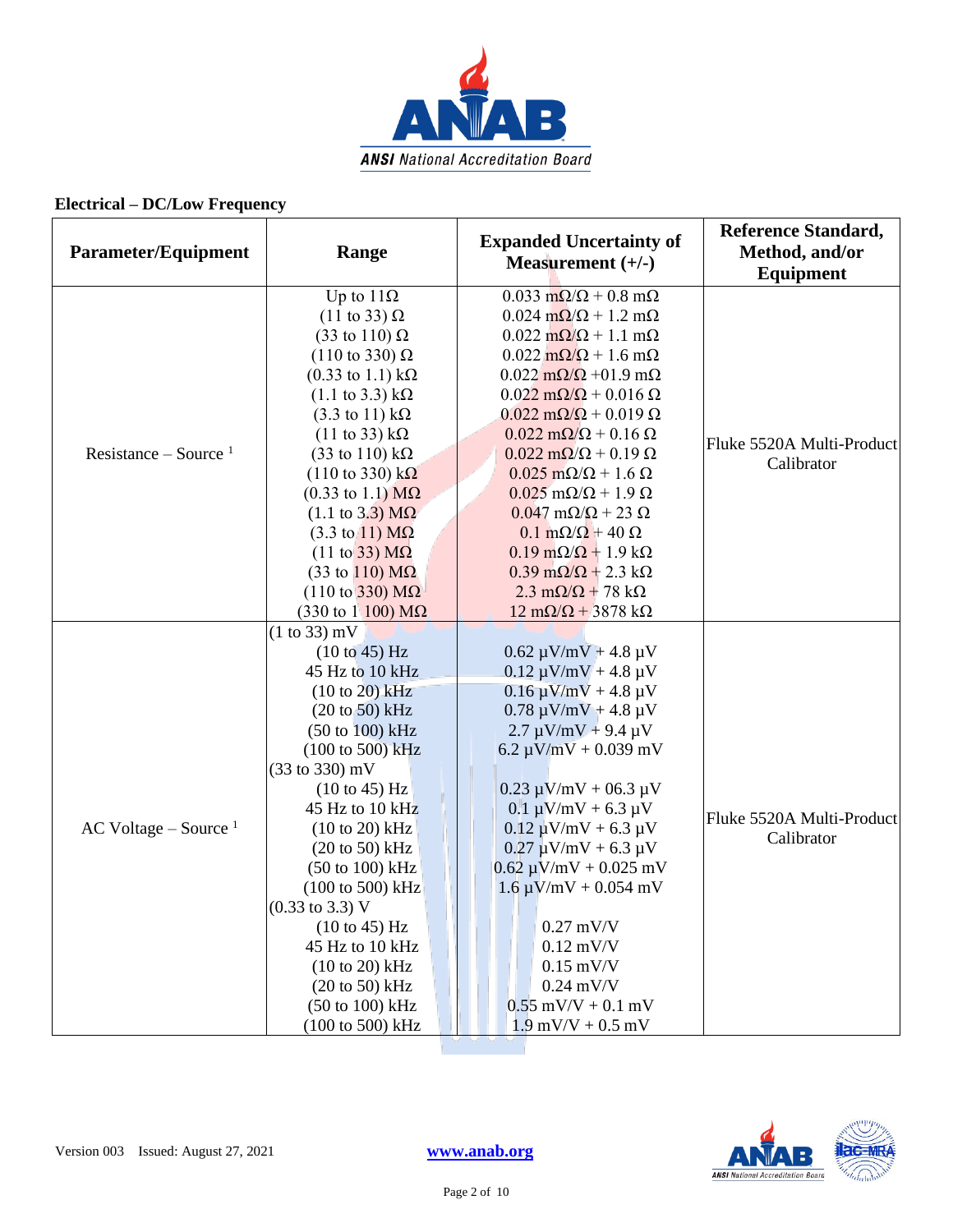

| Parameter/Equipment     | Range                                                                                                                                                                                                                                                                                                                                                                                                                                                                                                                                                                                                                                             | <b>Expanded Uncertainty of</b><br>Measurement $(+/-)$                                                                                                                                                                                                                                                                                                                                                                                                                                                                                                                                                                                                                                                                                                                                                                            | <b>Reference Standard,</b><br>Method, and/or<br>Equipment |
|-------------------------|---------------------------------------------------------------------------------------------------------------------------------------------------------------------------------------------------------------------------------------------------------------------------------------------------------------------------------------------------------------------------------------------------------------------------------------------------------------------------------------------------------------------------------------------------------------------------------------------------------------------------------------------------|----------------------------------------------------------------------------------------------------------------------------------------------------------------------------------------------------------------------------------------------------------------------------------------------------------------------------------------------------------------------------------------------------------------------------------------------------------------------------------------------------------------------------------------------------------------------------------------------------------------------------------------------------------------------------------------------------------------------------------------------------------------------------------------------------------------------------------|-----------------------------------------------------------|
| Resistance – Source $1$ | Up to $11\Omega$<br>$(11 \text{ to } 33) \Omega$<br>$(33 \text{ to } 110) \Omega$<br>$(110 \text{ to } 330) \Omega$<br>$(0.33 \text{ to } 1.1) \text{ k}\Omega$<br>$(1.1 \text{ to } 3.3) \text{ k}\Omega$<br>$(3.3 \text{ to } 11) \text{ k}\Omega$<br>$(11 \text{ to } 33) \text{ k}\Omega$<br>$(33 \text{ to } 110) \text{ k}\Omega$<br>$(110 \text{ to } 330) \text{ k}\Omega$<br>$(0.33 \text{ to } 1.1) \text{ M}\Omega$<br>$(1.1 \text{ to } 3.3) \text{ M}\Omega$<br>$(3.3 \text{ to } 11) \text{ M}\Omega$<br>$(11 \text{ to } 33) \text{ M}\Omega$<br>$(33 \text{ to } 110) \text{ M}\Omega$<br>$(110 \text{ to } 330) \text{ M}\Omega$ | $0.033$ m $\Omega/\Omega$ + 0.8 m $\Omega$<br>$0.024 \text{ m}\Omega/\Omega + 1.2 \text{ m}\Omega$<br>$0.022 \text{ m}\Omega/\Omega + 1.1 \text{ m}\Omega$<br>$0.022 \text{ m}\Omega/\Omega + 1.6 \text{ m}\Omega$<br>$0.022 \text{ m}\Omega/\Omega$ +01.9 m $\Omega$<br>$0.022 \text{ m}\Omega/\Omega + 0.016 \Omega$<br>$0.022 \text{ m}\Omega/\Omega + 0.019 \Omega$<br>$0.022 \text{ m}\Omega/\Omega$ + 0.16 $\Omega$<br>$0.022 \text{ m}\Omega/\Omega + 0.19 \Omega$<br>$0.025 \text{ m}\Omega/\Omega + 1.6 \Omega$<br>$0.025$ m $\Omega/\Omega$ + 1.9 $\Omega$<br>$0.047 \text{ mA}/\Omega$ + 23 $\Omega$<br>$0.1 \text{ m}\Omega/\Omega$ + 40 $\Omega$<br>$0.19 \text{ m}\Omega/\Omega + 1.9 \text{ k}\Omega$<br>$0.39 \text{ m}\Omega/\Omega + 2.3 \text{ k}\Omega$<br>$2.3 \text{ m}\Omega/\Omega + 78 \text{ k}\Omega$ | Fluke 5520A Multi-Product<br>Calibrator                   |
| AC Voltage – Source $1$ | $(330 \text{ to } 1100) \text{ M}\Omega$<br>$(1 to 33)$ mV<br>(10 to 45) Hz<br>45 Hz to 10 kHz<br>$(10 to 20)$ kHz<br>$(20 \text{ to } 50)$ kHz<br>$(50 \text{ to } 100) \text{ kHz}$<br>$(100 \text{ to } 500) \text{ kHz}$<br>(33 to 330) mV<br>$(10 \text{ to } 45)$ Hz<br>45 Hz to 10 kHz<br>$(10 to 20)$ kHz<br>$(20 \text{ to } 50) \text{ kHz}$<br>$(50 \text{ to } 100) \text{ kHz}$<br>(100 to 500) kHz<br>$(0.33 \text{ to } 3.3) \text{ V}$<br>(10 to 45) Hz<br>45 Hz to 10 kHz<br>$(10 to 20)$ kHz<br>$(20 \text{ to } 50)$ kHz<br>$(50 \text{ to } 100) \text{ kHz}$<br>(100 to 500) kHz                                             | $12 \text{ mA}/\Omega$ + 3878 k $\Omega$<br>$0.62 \mu V/mV + 4.8 \mu V$<br>$0.12 \mu V/mV + 4.8 \mu V$<br>$0.16 \mu V/mV + 4.8 \mu V$<br>$0.78 \mu V/mV + 4.8 \mu V$<br>$2.7 \mu V/mV + 9.4 \mu V$<br>$6.2 \mu V/mV + 0.039 \ mV$<br>$0.23 \mu V/mV + 06.3 \mu V$<br>$0.1 \mu V/mV + 6.3 \mu V$<br>$0.12 \mu V/mV + 6.3 \mu V$<br>$0.27 \mu V/mV + 6.3 \mu V$<br>$0.62 \mu V/mV + 0.025 \ mV$<br>$1.6 \mu V/mV + 0.054 \ mV$<br>$0.27$ mV/V<br>$0.12$ mV/V<br>$0.15$ mV/V<br>$0.24$ mV/V<br>$0.55$ mV/V + $0.1$ mV<br>$1.9$ mV/V + 0.5 mV                                                                                                                                                                                                                                                                                        | Fluke 5520A Multi-Product<br>Calibrator                   |

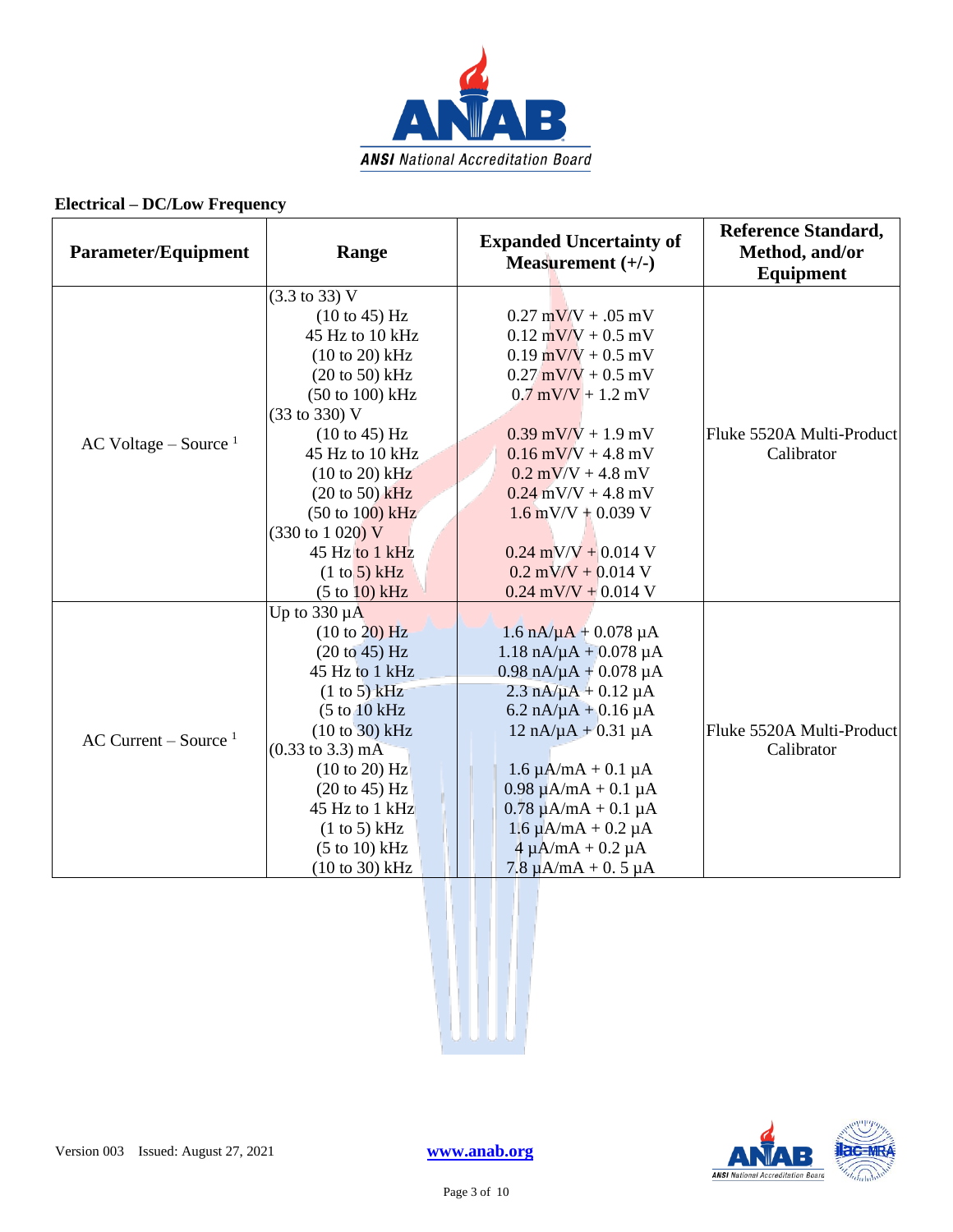

| <b>Parameter/Equipment</b> | Range                               | <b>Expanded Uncertainty of</b><br>Measurement $(+/-)$ | <b>Reference Standard,</b><br>Method, and/or<br>Equipment |
|----------------------------|-------------------------------------|-------------------------------------------------------|-----------------------------------------------------------|
|                            | $(3.3 \text{ to } 33) \text{ V}$    |                                                       |                                                           |
|                            | $(10 \text{ to } 45) \text{ Hz}$    | $0.27 \text{ mV/V} + 0.05 \text{ mV}$                 |                                                           |
|                            | 45 Hz to 10 kHz                     | $0.12$ mV/V + 0.5 mV                                  |                                                           |
|                            | $(10 to 20)$ kHz                    | $0.19$ mV/V + 0.5 mV                                  |                                                           |
|                            | $(20 \text{ to } 50)$ kHz           | $0.27$ mV/V + 0.5 mV                                  |                                                           |
|                            | (50 to 100) kHz                     | $0.7$ mV/V + 1.2 mV                                   |                                                           |
|                            | (33 to 330) V                       |                                                       |                                                           |
| AC Voltage – Source $1$    | (10 to 45) Hz                       | $0.39$ mV/V + 1.9 mV                                  | Fluke 5520A Multi-Product                                 |
|                            | 45 Hz to 10 kHz                     | $0.16$ mV/V + 4.8 mV                                  | Calibrator                                                |
|                            | $(10 to 20)$ kHz                    | $0.2$ mV/V + 4.8 mV                                   |                                                           |
|                            | $(20 \text{ to } 50)$ kHz           | $0.24$ mV/V + 4.8 mV                                  |                                                           |
|                            | $(50 \text{ to } 100) \text{ kHz}$  | $1.6$ mV/V + 0.039 V                                  |                                                           |
|                            | $(330 \text{ to } 1020) \text{ V}$  |                                                       |                                                           |
|                            | 45 Hz to 1 kHz                      | $0.24$ mV/V + 0.014 V                                 |                                                           |
|                            | (1 to 5) kHz                        | $0.2$ mV/V + 0.014 V                                  |                                                           |
|                            | (5 to 10) kHz                       | $0.24$ mV/V + 0.014 V                                 |                                                           |
|                            | Up to $330 \mu A$                   |                                                       |                                                           |
|                            | (10 to 20) Hz                       | $1.6 \text{ nA}/\mu\text{A} + 0.078 \mu\text{A}$      |                                                           |
|                            | (20 to 45) Hz                       | $1.18 \text{ nA}/\mu\text{A} + 0.078 \mu\text{A}$     |                                                           |
|                            | 45 Hz to 1 kHz                      | $0.98$ nA/ $\mu$ A + 0.078 $\mu$ A                    |                                                           |
|                            | (1 to 5) kHz                        | $2.3 \text{ nA}/\mu\text{A} + 0.12 \mu\text{A}$       |                                                           |
|                            | (5 to 10 kHz)                       | $6.2 \text{ nA}/\mu\text{A} + 0.16 \mu\text{A}$       |                                                           |
| AC Current – Source $1$    | $(10 to 30)$ kHz                    | $12 nA/\mu A + 0.31 \mu A$                            | Fluke 5520A Multi-Product                                 |
|                            | $(0.33 \text{ to } 3.3) \text{ mA}$ |                                                       | Calibrator                                                |
|                            | (10 to 20) Hz                       | $1.6 \mu A/mA + 0.1 \mu A$                            |                                                           |
|                            | $(20 \text{ to } 45)$ Hz            | $0.98 \mu A/mA + 0.1 \mu A$                           |                                                           |
|                            | 45 Hz to 1 kHz                      | $0.78 \mu A/mA + 0.1 \mu A$                           |                                                           |
|                            | (1 to 5) kHz                        | $1.6 \mu A/mA + 0.2 \mu A$                            |                                                           |
|                            | $(5 to 10)$ kHz                     | $4 \mu A/mA + 0.2 \mu A$                              |                                                           |
|                            | $(10 to 30)$ kHz                    | $7.8 \mu A/mA + 0.5 \mu A$                            |                                                           |



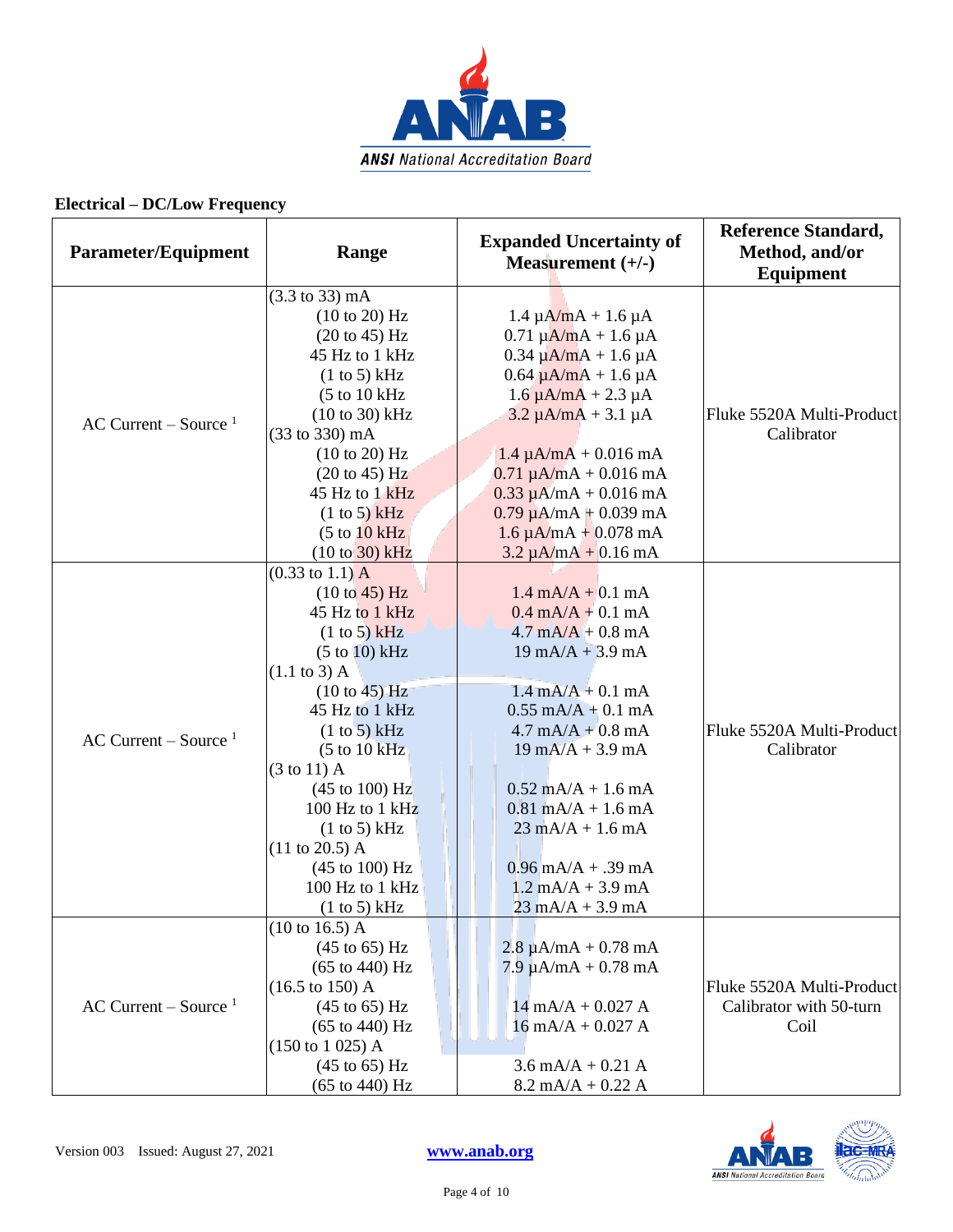

| <b>Parameter/Equipment</b> | Range                              | <b>Expanded Uncertainty of</b><br>Measurement $(+/-)$ | <b>Reference Standard,</b><br>Method, and/or<br><b>Equipment</b> |
|----------------------------|------------------------------------|-------------------------------------------------------|------------------------------------------------------------------|
|                            | $(3.3 \text{ to } 33) \text{ mA}$  |                                                       |                                                                  |
|                            | (10 to 20) Hz                      | $1.4 \mu A/mA + 1.6 \mu A$                            |                                                                  |
|                            | $(20 \text{ to } 45)$ Hz           | $0.71 \mu A/mA + 1.6 \mu A$                           |                                                                  |
|                            | 45 Hz to 1 kHz                     | $0.34 \mu A/mA + 1.6 \mu A$                           |                                                                  |
|                            | (1 to 5) kHz                       | $0.64 \mu A/mA + 1.6 \mu A$                           |                                                                  |
|                            | (5 to 10 kHz)                      | $1.6 \mu A/mA + 2.3 \mu A$                            |                                                                  |
|                            | $(10 to 30)$ kHz                   | $3.2 \mu A/mA + 3.1 \mu A$                            | Fluke 5520A Multi-Product                                        |
| AC Current – Source $1$    | (33 to 330) mA                     |                                                       | Calibrator                                                       |
|                            | $(10 \text{ to } 20)$ Hz           | $1.4 \mu A/mA + 0.016 mA$                             |                                                                  |
|                            | $(20 \text{ to } 45)$ Hz           | $0.71 \mu A/mA + 0.016 mA$                            |                                                                  |
|                            | 45 Hz to 1 kHz                     | $0.33 \mu A/mA + 0.016 mA$                            |                                                                  |
|                            | (1 to 5) kHz                       | $0.79 \mu A/mA + 0.039 mA$                            |                                                                  |
|                            | (5 to 10 kHz)                      | $1.6 \mu A/mA + 0.078 mA$                             |                                                                  |
|                            | $(10 to 30)$ kHz                   | $3.2 \mu A/mA + 0.16 mA$                              |                                                                  |
|                            | $(0.33 \text{ to } 1.1) \text{ A}$ |                                                       |                                                                  |
|                            | (10 to 45) Hz                      | $1.4 \text{ mA}/A + 0.1 \text{ mA}$                   |                                                                  |
|                            | 45 Hz to 1 kHz                     | $0.4 \text{ mA}/A + 0.1 \text{ mA}$                   |                                                                  |
|                            | (1 to 5) kHz                       | $4.7 \text{ mA} + 0.8 \text{ mA}$                     |                                                                  |
|                            | $(5 to 10)$ kHz                    | $19 \text{ mA}/A + 3.9 \text{ mA}$                    |                                                                  |
|                            | $(1.1 \text{ to } 3)$ A            |                                                       |                                                                  |
|                            | (10 to 45) Hz                      | $1.4 \text{ mA} + 0.1 \text{ mA}$                     |                                                                  |
|                            | 45 Hz to 1 kHz                     | $0.55$ mA/A + 0.1 mA                                  |                                                                  |
| AC Current – Source $1$    | (1 to 5) kHz                       | $4.7 \text{ mA} + 0.8 \text{ mA}$                     | Fluke 5520A Multi-Product                                        |
|                            | (5 to 10 kHz)                      | $19 \text{ mA}/A + 3.9 \text{ mA}$                    | Calibrator                                                       |
|                            | $(3 \text{ to } 11)$ A             |                                                       |                                                                  |
|                            | $(45 \text{ to } 100) \text{ Hz}$  | $0.52$ mA/A + 1.6 mA                                  |                                                                  |
|                            | 100 Hz to 1 kHz                    | $0.81$ mA/A + 1.6 mA                                  |                                                                  |
|                            | (1 to 5) kHz                       | $23 \text{ mA}/A + 1.6 \text{ mA}$                    |                                                                  |
|                            | $(11 \text{ to } 20.5)$ A          |                                                       |                                                                  |
|                            | $(45 \text{ to } 100) \text{ Hz}$  | $0.96$ mA/A + .39 mA                                  |                                                                  |
|                            | 100 Hz to 1 kHz                    | $1.2$ mA/A + 3.9 mA                                   |                                                                  |
|                            | (1 to 5) kHz                       | $23 \text{ mA/A} + 3.9 \text{ mA}$                    |                                                                  |
|                            | $(10 \text{ to } 16.5)$ A          |                                                       |                                                                  |
|                            | $(45 \text{ to } 65)$ Hz           | $2.8 \mu A/mA + 0.78 mA$                              |                                                                  |
|                            | $(65 \text{ to } 440) \text{ Hz}$  | $7.9 \mu A/mA + 0.78 mA$                              |                                                                  |
|                            | $(16.5 \text{ to } 150)$ A         |                                                       | Fluke 5520A Multi-Product                                        |
| AC Current – Source $1$    | $(45 \text{ to } 65)$ Hz           | $14 \text{ mA}/A + 0.027 \text{ A}$                   | Calibrator with 50-turn                                          |
|                            | $(65 \text{ to } 440) \text{ Hz}$  | $16$ mA/A + 0.027 A                                   | Coil                                                             |
|                            | $(150 \text{ to } 1025)$ A         |                                                       |                                                                  |
|                            | $(45 \text{ to } 65)$ Hz           | $3.6 \text{ mA/A} + 0.21 \text{ A}$                   |                                                                  |
|                            | $(65 \text{ to } 440) \text{ Hz}$  | $8.2 \text{ mA/A} + 0.22 \text{ A}$                   |                                                                  |

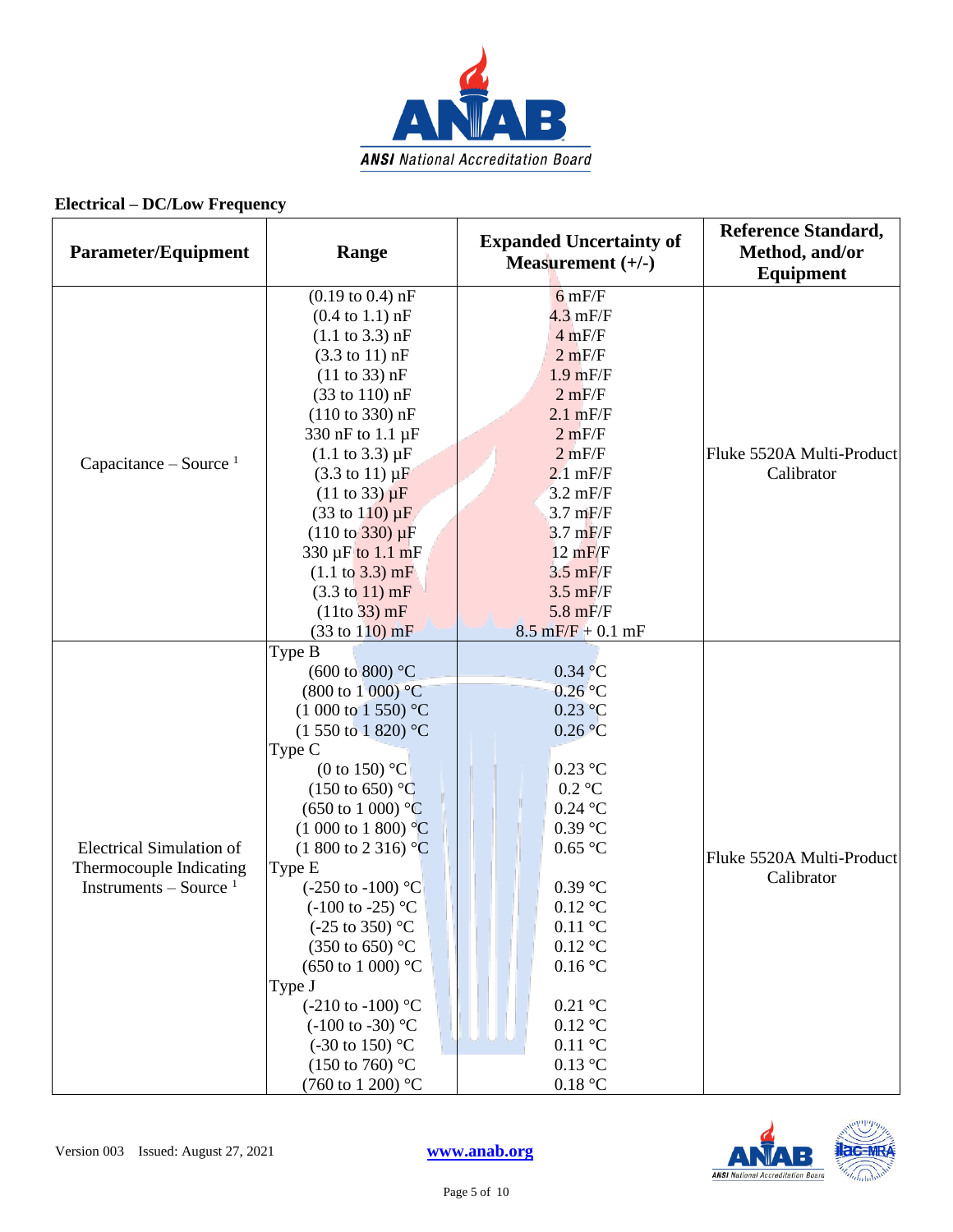

| <b>Parameter/Equipment</b>                                                             | Range                                                                                                                                                                                                                                                                                                                                                                                                                                                                                                                                                                                                                                                                                            | <b>Expanded Uncertainty of</b><br>Measurement $(+/-)$                                                                                                                                                                                                                                                                                    | <b>Reference Standard,</b><br>Method, and/or<br><b>Equipment</b> |
|----------------------------------------------------------------------------------------|--------------------------------------------------------------------------------------------------------------------------------------------------------------------------------------------------------------------------------------------------------------------------------------------------------------------------------------------------------------------------------------------------------------------------------------------------------------------------------------------------------------------------------------------------------------------------------------------------------------------------------------------------------------------------------------------------|------------------------------------------------------------------------------------------------------------------------------------------------------------------------------------------------------------------------------------------------------------------------------------------------------------------------------------------|------------------------------------------------------------------|
| Capacitance – Source $1$                                                               | $(0.19 \text{ to } 0.4) \text{ nF}$<br>$(0.4 \text{ to } 1.1) \text{ nF}$<br>$(1.1 \text{ to } 3.3) \text{ nF}$<br>$(3.3 \text{ to } 11) \text{ nF}$<br>(11 to 33) nF<br>(33 to 110) nF<br>$(110 \text{ to } 330) \text{ nF}$<br>330 nF to 1.1 µF<br>$(1.1 \text{ to } 3.3) \mu F$<br>$(3.3 \text{ to } 11) \mu F$<br>$(11 \text{ to } 33) \mu F$<br>$(33 \text{ to } 110) \,\mu\text{F}$<br>$(110 \text{ to } 330) \mu F$<br>330 µF to 1.1 mF<br>$(1.1 \text{ to } 3.3) \text{ mF}$<br>$(3.3 \text{ to } 11) \text{ mF}$<br>$(11to 33)$ mF                                                                                                                                                      | $6$ mF/F<br>$4.3$ mF/F<br>4 mF/F<br>2 mF/F<br>$1.9$ mF/F<br>2 mF/F<br>$2.1$ mF/F<br>2 mF/F<br>2 mF/F<br>$2.1$ mF/F<br>$3.2 \text{ mF/F}$<br>$3.7 \text{ mF/F}$<br>$3.7 \text{ mF/F}$<br>12 mF/F<br>$3.5 \text{ mF/F}$<br>$3.5 \text{ mF/F}$<br>$5.8$ mF/F                                                                                | Fluke 5520A Multi-Product<br>Calibrator                          |
| <b>Electrical Simulation of</b><br>Thermocouple Indicating<br>Instruments – Source $1$ | $(33 \text{ to } 110) \text{ mF}$<br>Type B<br>$(600 \text{ to } 800)$ °C<br>$(800 \text{ to } 1000) \text{ °C}$<br>$(1\ 000\ \text{to}\ 1\ 550)$ <sup>o</sup> C<br>$(1550 \text{ to } 1820)$ °C<br>Type C<br>(0 to 150) $^{\circ}$ C<br>$(150 \text{ to } 650)$ °C<br>$(650 \text{ to } 1000)$ °C<br>$(1000 \text{ to } 1800)$ °C<br>$(1800 \text{ to } 2316)$ °C<br>Type E<br>$(-250 \text{ to } -100)$ °C<br>$(-100 \text{ to } -25)$ °C<br>$(-25 \text{ to } 350)$ °C<br>$(350 \text{ to } 650)$ °C<br>$(650 \text{ to } 1000)$ °C<br>Type J<br>$(-210 \text{ to } -100)$ °C<br>$(-100 \text{ to } -30)$ °C<br>$(-30 \text{ to } 150)$ °C<br>$(150 \text{ to } 760)$ °C<br>(760 to 1 200) °C | $8.5 \text{ mF/F} + 0.1 \text{ mF}$<br>0.34 °C<br>$0.26$ °C<br>$0.23$ °C<br>0.26 °C<br>$0.23$ °C<br>$0.2\ ^{\circ}\textrm{C}$<br>$0.24$ °C<br>$0.39$ °C<br>$0.65$ °C<br>$0.39$ °C<br>$0.12$ °C<br>$0.11\text{ }^{\circ}C$<br>$0.12$ °C<br>0.16 °C<br>$0.21$ °C<br>$0.12$ °C<br>$0.11\text{ °C}$<br>0.13 °C<br>$0.18\ ^{\circ}\textrm{C}$ | Fluke 5520A Multi-Product<br>Calibrator                          |

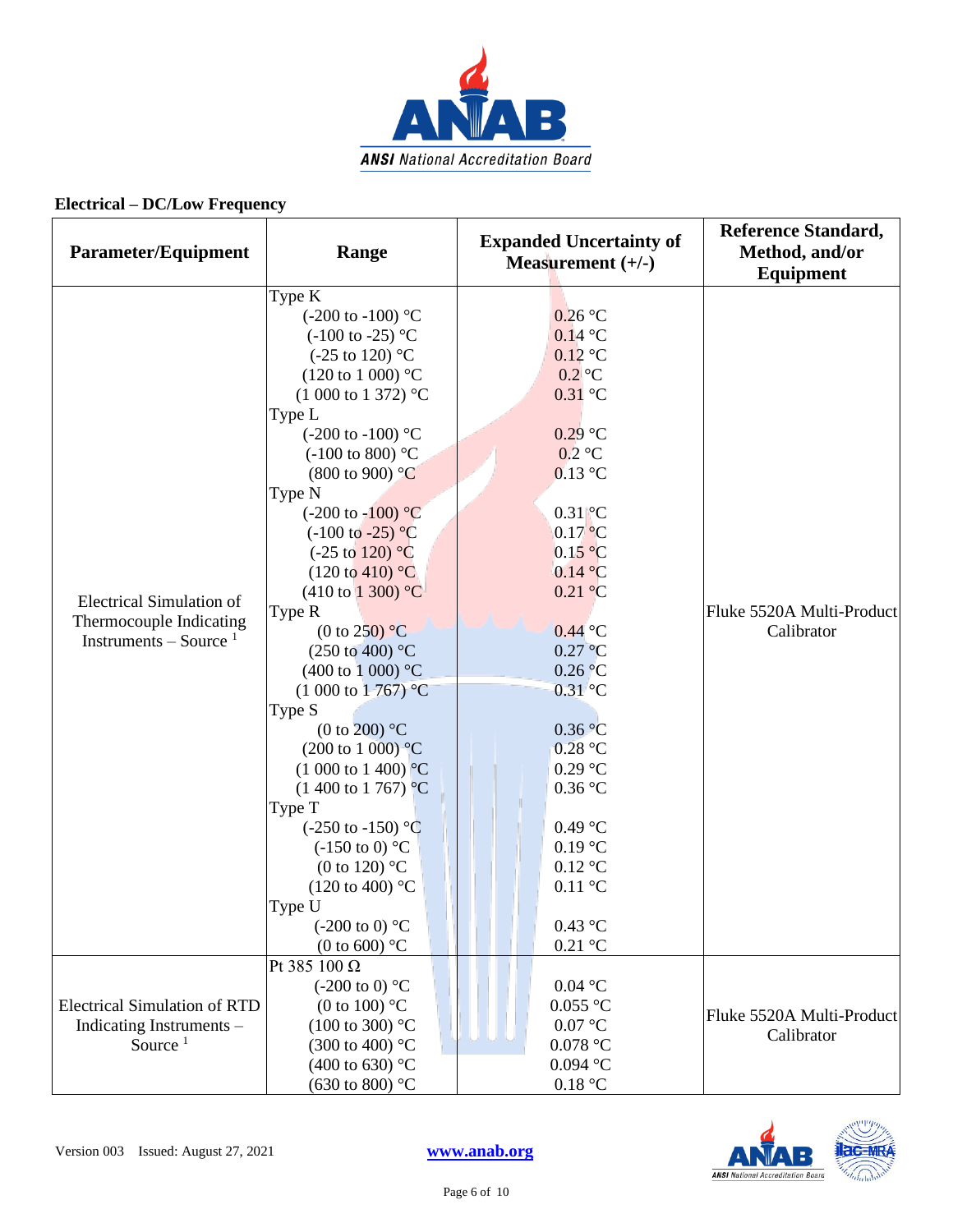

| Parameter/Equipment                                                                    | Range                                                                                                                                                                                                                                                                                                                                                                                                                                                                                                                                                                                                                                                                                                                                                                                                                                                                                                                                                | <b>Expanded Uncertainty of</b><br>Measurement $(+/-)$                                                                                                                                                                                                                                                                                                    | <b>Reference Standard,</b><br>Method, and/or<br>Equipment |
|----------------------------------------------------------------------------------------|------------------------------------------------------------------------------------------------------------------------------------------------------------------------------------------------------------------------------------------------------------------------------------------------------------------------------------------------------------------------------------------------------------------------------------------------------------------------------------------------------------------------------------------------------------------------------------------------------------------------------------------------------------------------------------------------------------------------------------------------------------------------------------------------------------------------------------------------------------------------------------------------------------------------------------------------------|----------------------------------------------------------------------------------------------------------------------------------------------------------------------------------------------------------------------------------------------------------------------------------------------------------------------------------------------------------|-----------------------------------------------------------|
| <b>Electrical Simulation of</b><br>Thermocouple Indicating<br>Instruments – Source $1$ | Type K<br>$(-200 \text{ to } -100)$ °C<br>$(-100 \text{ to } -25)$ °C<br>(-25 to 120) $^{\circ}$ C<br>$(120 \text{ to } 1000)$ °C<br>$(1000 \text{ to } 1372)$ °C<br>Type L<br>$(-200 \text{ to } -100)$ °C<br>$(-100 \text{ to } 800)$ °C<br>$(800 \text{ to } 900)$ °C<br>Type N<br>$(-200 \text{ to } -100)$ °C<br>$(-100 \text{ to } -25) \text{ °C}$<br>$(-25 \text{ to } 120)$ °C<br>$(120 \text{ to } 410)$ °C<br>$(410 \text{ to } 1300)$ °C<br>Type R<br>(0 to 250) $\mathrm{^{\circ}C}$<br>$(250 \text{ to } 400)$ °C<br>$(400 \text{ to } 1000)$ °C<br>$(1\ 000\ \text{to}\ 1\ 767)$ °C<br>Type S<br>(0 to 200) $^{\circ}$ C<br>$(200 \text{ to } 1000)$ °C<br>$(1\ 000\ \text{to}\ 1\ 400)$ °C<br>$(1400 \text{ to } 1767)$ °C<br>Type T<br>$(-250 \text{ to } -150)$ °C<br>$(-150 \text{ to } 0)$ °C<br>(0 to 120) $^{\circ}$ C<br>$(120 \text{ to } 400)$ °C<br>Type U<br>$(-200 \text{ to } 0)$ °C<br>(0 to 600) $\mathrm{^{\circ}C}$ | $0.26$ °C<br>$0.14$ °C<br>$0.12$ °C<br>$0.2$ °C<br>$0.31$ °C<br>$0.29$ °C<br>$0.2$ °C<br>$0.13$ °C<br>$0.31\degree C$<br>$0.17$ °C<br>0.15 °C<br>0.14 °C<br>0.21 °C<br>$0.44$ °C<br>$0.27$ °C<br>0.26 °C<br>$0.31$ °C<br>0.36 °C<br>$0.28$ °C<br>$0.29$ °C<br>0.36 °C<br>$0.49$ °C<br>$0.19$ °C<br>$0.12$ °C<br>$0.11\text{ °C}$<br>0.43 °C<br>$0.21$ °C | Fluke 5520A Multi-Product<br>Calibrator                   |
| <b>Electrical Simulation of RTD</b><br>Indicating Instruments -<br>Source $1$          | Pt 385 100 Ω<br>$(-200 \text{ to } 0)$ °C<br>(0 to 100) $^{\circ}$ C<br>$(100 \text{ to } 300)$ °C<br>(300 to 400) $^{\circ}$ C<br>(400 to 630) $^{\circ}$ C<br>(630 to 800) $^{\circ}$ C                                                                                                                                                                                                                                                                                                                                                                                                                                                                                                                                                                                                                                                                                                                                                            | $0.04\ ^{\circ}\textrm{C}$<br>$0.055$ °C<br>0.07 °C<br>$0.078$ °C<br>$0.094$ °C<br>0.18 °C                                                                                                                                                                                                                                                               | Fluke 5520A Multi-Product<br>Calibrator                   |

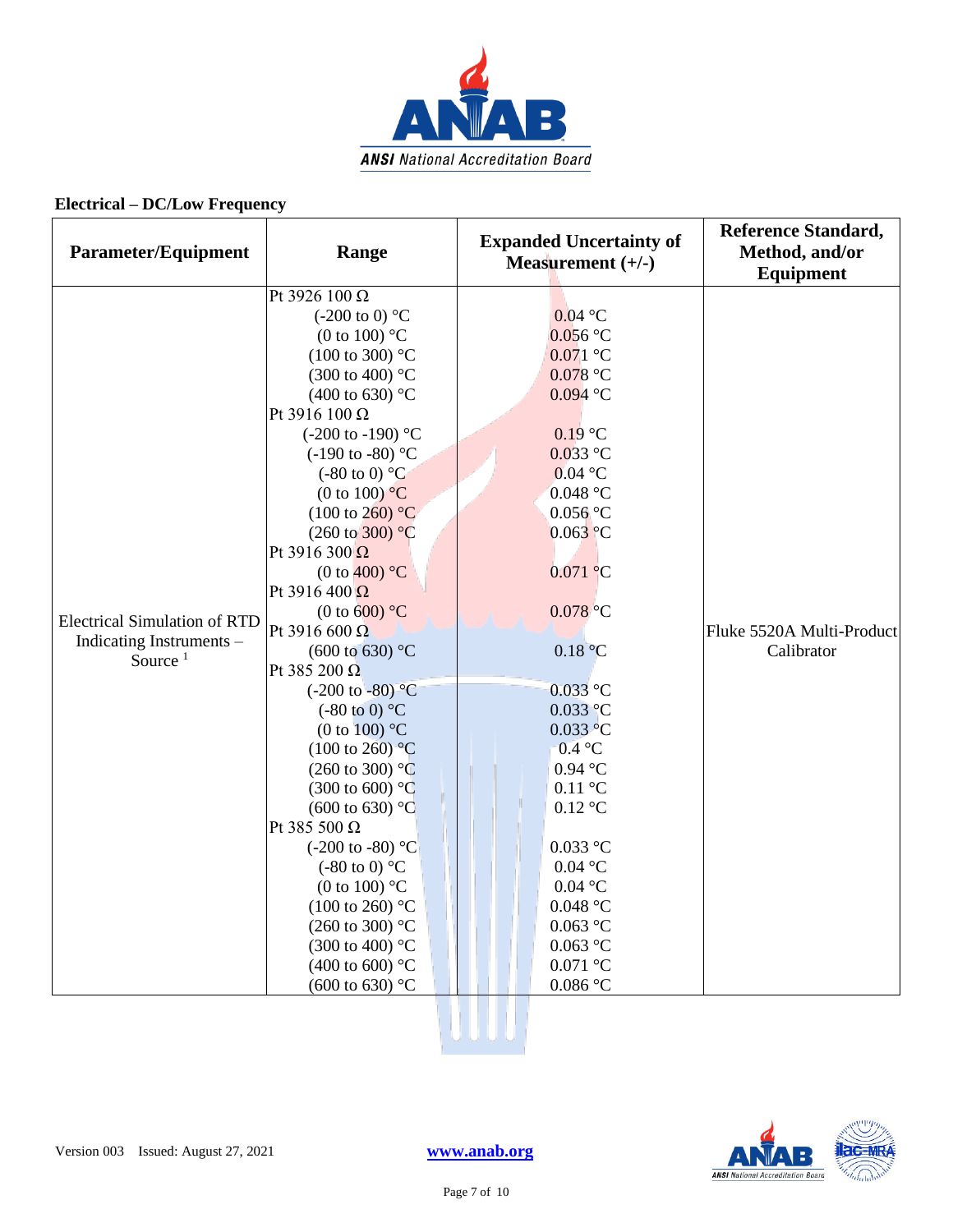

| <b>Parameter/Equipment</b>          | Range                           | <b>Expanded Uncertainty of</b><br>Measurement $(+/-)$ | <b>Reference Standard,</b><br>Method, and/or<br><b>Equipment</b> |
|-------------------------------------|---------------------------------|-------------------------------------------------------|------------------------------------------------------------------|
|                                     | Pt 3926 100 Ω                   |                                                       |                                                                  |
|                                     | $(-200 \text{ to } 0)$ °C       | $0.04$ °C                                             |                                                                  |
|                                     | (0 to 100) $\mathrm{^{\circ}C}$ | $0.056$ °C                                            |                                                                  |
|                                     | $(100 \text{ to } 300)$ °C      | $0.071$ °C                                            |                                                                  |
|                                     | (300 to 400) °C                 | $0.078$ °C                                            |                                                                  |
|                                     | (400 to 630) $^{\circ}$ C       | $0.094$ °C                                            |                                                                  |
|                                     | Pt 3916 100 Ω                   |                                                       |                                                                  |
|                                     | $(-200 \text{ to } -190)$ °C    | $0.19$ °C                                             |                                                                  |
|                                     | $(-190 \text{ to } -80)$ °C     | $0.033$ °C                                            |                                                                  |
|                                     | $(-80 \text{ to } 0)$ °C        | $0.04$ °C                                             |                                                                  |
|                                     | (0 to 100) $\mathrm{^{\circ}C}$ | $0.048$ °C                                            |                                                                  |
|                                     | $(100 \text{ to } 260)$ °C      | $0.056$ °C                                            |                                                                  |
|                                     | $(260 \text{ to } 300)$ °C      | $0.063$ °C                                            |                                                                  |
|                                     | Pt 3916 300 $\Omega$            |                                                       |                                                                  |
|                                     | (0 to 400) $^{\circ}$ C         | $0.071$ °C                                            |                                                                  |
|                                     | Pt 3916 400 $\Omega$            |                                                       |                                                                  |
| <b>Electrical Simulation of RTD</b> | (0 to 600) $°C$                 | $0.078$ °C                                            |                                                                  |
| Indicating Instruments -            | Pt 3916 600 $\Omega$            |                                                       | Fluke 5520A Multi-Product                                        |
| Source $1$                          | $(600 \text{ to } 630)$ °C      | 0.18 °C                                               | Calibrator                                                       |
|                                     | Pt 385 200 Ω                    |                                                       |                                                                  |
|                                     | $(-200 \text{ to } -80)$ °C     | $0.033$ °C                                            |                                                                  |
|                                     | $(-80 \text{ to } 0)$ °C        | $0.033$ °C                                            |                                                                  |
|                                     | (0 to 100) $\mathrm{^{\circ}C}$ | $0.033$ °C                                            |                                                                  |
|                                     | $(100 \text{ to } 260)$ °C      | 0.4 °C                                                |                                                                  |
|                                     | $(260 \text{ to } 300)$ °C      | $0.94$ °C                                             |                                                                  |
|                                     | $(300 \text{ to } 600)$ °C      | $0.11\text{ °C}$                                      |                                                                  |
|                                     | $(600 \text{ to } 630)$ °C      | $0.12$ °C                                             |                                                                  |
|                                     | Pt 385 500 Ω                    |                                                       |                                                                  |
|                                     | $(-200 \text{ to } -80)$ °C     | $0.033$ °C                                            |                                                                  |
|                                     | $(-80 \text{ to } 0)$ °C        | $0.04$ °C                                             |                                                                  |
|                                     | (0 to 100) $\degree$ C          | $0.04$ °C                                             |                                                                  |
|                                     | $(100 \text{ to } 260)$ °C      | $0.048$ °C                                            |                                                                  |
|                                     | $(260 \text{ to } 300)$ °C      | $0.063$ °C                                            |                                                                  |
|                                     | $(300 \text{ to } 400)$ °C      | $0.063$ °C                                            |                                                                  |
|                                     | (400 to 600) $^{\circ}$ C       | $0.071\ ^{\circ}\textrm{C}$                           |                                                                  |
|                                     | $(600 \text{ to } 630)$ °C      | $0.086$ °C                                            |                                                                  |

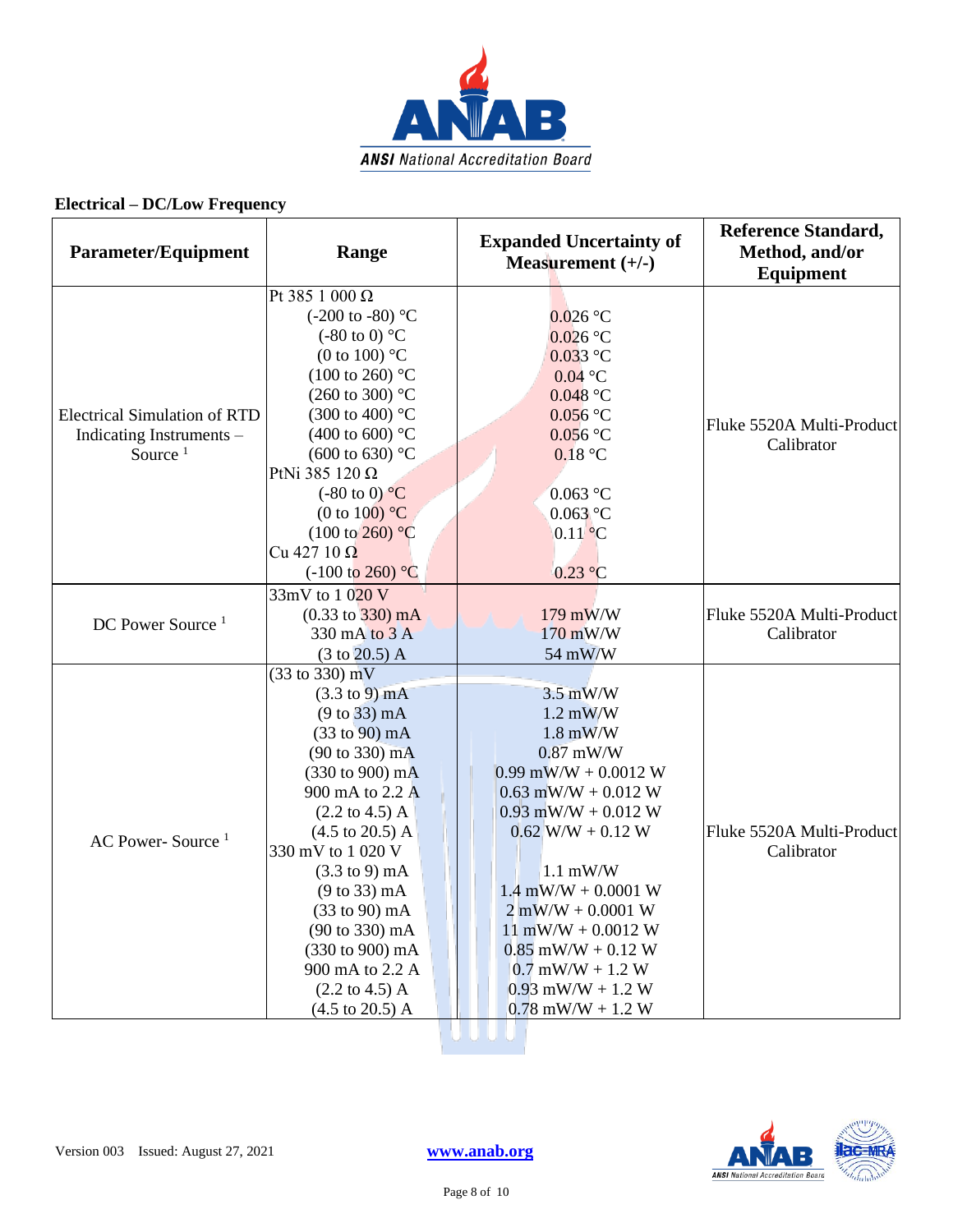

| <b>Parameter/Equipment</b>                                                    | Range                                                                                                                                                                                                                                                                                                                                                                                                                                                                      | <b>Expanded Uncertainty of</b><br>Measurement $(+/-)$                                                                                                                                                                                                                                                                                              | <b>Reference Standard,</b><br>Method, and/or<br><b>Equipment</b> |
|-------------------------------------------------------------------------------|----------------------------------------------------------------------------------------------------------------------------------------------------------------------------------------------------------------------------------------------------------------------------------------------------------------------------------------------------------------------------------------------------------------------------------------------------------------------------|----------------------------------------------------------------------------------------------------------------------------------------------------------------------------------------------------------------------------------------------------------------------------------------------------------------------------------------------------|------------------------------------------------------------------|
| <b>Electrical Simulation of RTD</b><br>Indicating Instruments -<br>Source $1$ | Pt 385 1 000 Ω<br>$(-200 \text{ to } -80)$ °C<br>$(-80 \text{ to } 0)$ °C<br>(0 to 100) $\mathrm{^{\circ}C}$<br>$(100 \text{ to } 260)$ °C<br>$(260 \text{ to } 300)$ °C<br>(300 to 400) °C<br>(400 to 600) $^{\circ}$ C<br>(600 to 630) $^{\circ}$ C<br>PtNi 385 120 Ω<br>$(-80 \text{ to } 0)$ °C<br>(0 to 100) $^{\circ}$ C<br>$(100 \text{ to } 260)$ °C<br>Cu 427 10 $\Omega$                                                                                         | $0.026$ °C<br>$0.026$ °C<br>$0.033$ °C<br>$0.04$ °C<br>$0.048$ °C<br>$0.056$ °C<br>$0.056$ °C<br>0.18 °C<br>$0.063$ °C<br>$0.063$ °C<br>$0.11$ °C                                                                                                                                                                                                  | Fluke 5520A Multi-Product<br>Calibrator                          |
| DC Power Source <sup>1</sup>                                                  | $(-100 \text{ to } 260)$ °C<br>33mV to 1 020 V<br>$(0.33 \text{ to } 330) \text{ mA}$<br>330 mA to 3 A<br>$(3 \text{ to } 20.5)$ A                                                                                                                                                                                                                                                                                                                                         | $0.23$ °C<br>179 mW/W<br>170 mW/W<br>54 mW/W                                                                                                                                                                                                                                                                                                       | Fluke 5520A Multi-Product<br>Calibrator                          |
| AC Power-Source <sup>1</sup>                                                  | $(33 \text{ to } 330) \text{ mV}$<br>$(3.3 \text{ to } 9) \text{ mA}$<br>(9 to 33) mA<br>$(33 to 90)$ mA<br>(90 to 330) mA<br>(330 to 900) mA<br>900 mA to 2.2 A<br>$(2.2 \text{ to } 4.5) \text{ A}$<br>$(4.5 \text{ to } 20.5) \text{ A}$<br>330 mV to 1 020 V<br>$(3.3 \text{ to } 9) \text{ mA}$<br>$(9 to 33)$ mA<br>(33 to 90) mA<br>(90 to 330) mA<br>(330 to 900) mA<br>900 mA to 2.2 A<br>$(2.2 \text{ to } 4.5) \text{ A}$<br>$(4.5 \text{ to } 20.5) \text{ A}$ | $3.5$ mW/W<br>$1.2$ mW/W<br>$1.8$ mW/W<br>$0.87$ mW/W<br>$0.99$ mW/W + $0.0012$ W<br>$0.63$ mW/W + 0.012 W<br>$0.93$ mW/W + $0.012$ W<br>$0.62$ W/W + $0.12$ W<br>$1.1$ mW/W<br>$1.4$ mW/W + 0.0001 W<br>$2$ mW/W + 0.0001 W<br>$11$ mW/W + 0.0012 W<br>$0.85$ mW/W + $0.12$ W<br>$0.7$ mW/W + 1.2 W<br>$0.93$ mW/W + 1.2 W<br>$0.78$ mW/W + 1.2 W | Fluke 5520A Multi-Product<br>Calibrator                          |

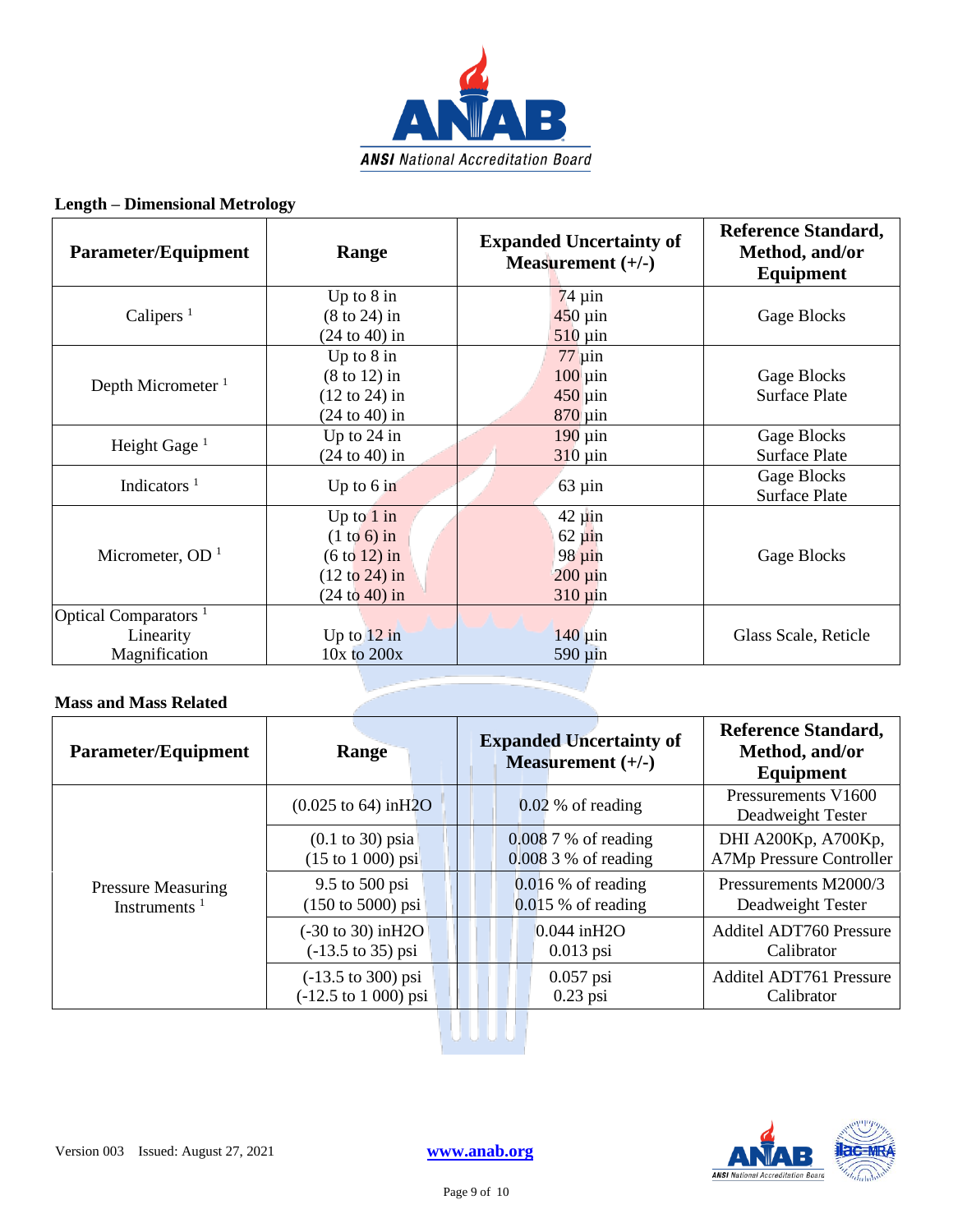

#### **Length – Dimensional Metrology**

| Parameter/Equipment              | Range                    | <b>Expanded Uncertainty of</b><br>Measurement $(+/-)$ | <b>Reference Standard,</b><br>Method, and/or<br>Equipment |
|----------------------------------|--------------------------|-------------------------------------------------------|-----------------------------------------------------------|
|                                  | Up to $8$ in             | $74 \mu$ in                                           |                                                           |
| Calipers <sup>1</sup>            | $(8 \text{ to } 24)$ in  | $450 \mu$ in                                          | Gage Blocks                                               |
|                                  | $(24 \text{ to } 40)$ in | $510 \,\mathrm{\mu}$ in                               |                                                           |
|                                  | Up to $8$ in             | $77 \mu$ in                                           |                                                           |
| Depth Micrometer $1$             | $(8 \text{ to } 12)$ in  | $100 \mu$ in                                          | Gage Blocks                                               |
|                                  | $(12 \text{ to } 24)$ in | $450 \mu$ in                                          | <b>Surface Plate</b>                                      |
|                                  | $(24 \text{ to } 40)$ in | $870 \,\mathrm{\mu}$ in                               |                                                           |
| Height Gage $1$                  | Up to $24$ in            | $190 \mu$ in                                          | Gage Blocks                                               |
|                                  | $(24 \text{ to } 40)$ in | $310 \,\mathrm{\mu}$ in                               | <b>Surface Plate</b>                                      |
| Indicators $1$                   | Up to $6$ in             | $63 \mu$ in                                           | Gage Blocks                                               |
|                                  |                          |                                                       | <b>Surface Plate</b>                                      |
|                                  | Up to $1$ in             | $42 \mu$ in                                           |                                                           |
|                                  | $(1 to 6)$ in            | $62 \mu in$                                           |                                                           |
| Micrometer, $OD1$                | $(6 to 12)$ in           | $98 \mu in$                                           | Gage Blocks                                               |
|                                  | $(12 \text{ to } 24)$ in | $200 \mu in$                                          |                                                           |
|                                  | (24 to 40) in            | $310 \,\mathrm{\mu}$ in                               |                                                           |
| Optical Comparators <sup>1</sup> |                          |                                                       |                                                           |
| Linearity                        | Up to $12$ in            | $140 \mu$ in                                          | Glass Scale, Reticle                                      |
| Magnification                    | $10x$ to $200x$          | $590 \mu$ in                                          |                                                           |

#### **Mass and Mass Related**

| <b>Parameter/Equipment</b>                   | <b>Range</b>                                                                    | <b>Expanded Uncertainty of</b><br>Measurement $(+/-)$ | <b>Reference Standard,</b><br>Method, and/or<br>Equipment |
|----------------------------------------------|---------------------------------------------------------------------------------|-------------------------------------------------------|-----------------------------------------------------------|
|                                              | $(0.025 \text{ to } 64) \text{ in } H2O$                                        | $0.02\%$ of reading                                   | Pressurements V1600<br>Deadweight Tester                  |
| <b>Pressure Measuring</b><br>Instruments $1$ | $(0.1 \text{ to } 30)$ psia<br>$(15 \text{ to } 1000) \text{ psi}$              | $0.0087%$ of reading<br>0.008 3 % of reading          | <b>DHI A200Kp, A700Kp,</b><br>A7Mp Pressure Controller    |
|                                              | 9.5 to 500 psi<br>$(150 \text{ to } 5000) \text{ psi}$                          | $0.016\%$ of reading<br>$0.015$ % of reading          | Pressurements M2000/3<br>Deadweight Tester                |
|                                              | $(-30 \text{ to } 30) \text{ in } H2O$<br>$(-13.5 \text{ to } 35) \text{ psi}$  | 0.044 inH2O<br>$0.013$ psi                            | <b>Additel ADT760 Pressure</b><br>Calibrator              |
|                                              | $(-13.5 \text{ to } 300) \text{ psi}$<br>$(-12.5 \text{ to } 1000) \text{ psi}$ | $0.057$ psi<br>$0.23$ psi                             | <b>Additel ADT761 Pressure</b><br>Calibrator              |